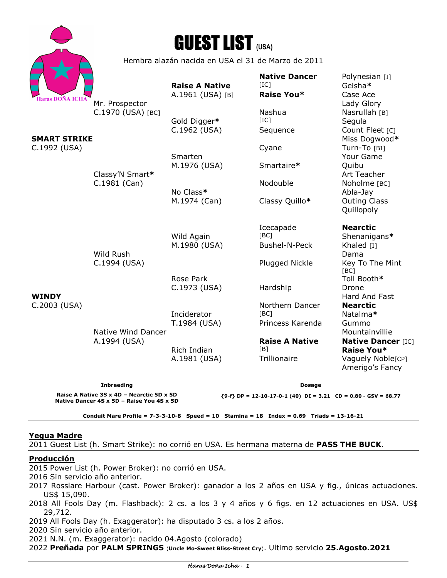|                                                        |                                                                          | <b>GUEST LIST (USA)</b>                   |                                                      |                                                                                 |
|--------------------------------------------------------|--------------------------------------------------------------------------|-------------------------------------------|------------------------------------------------------|---------------------------------------------------------------------------------|
|                                                        | Hembra alazán nacida en USA el 31 de Marzo de 2011                       |                                           |                                                      |                                                                                 |
|                                                        |                                                                          | <b>Raise A Native</b><br>A.1961 (USA) [B] | <b>Native Dancer</b><br>[IC]<br>Raise You*           | Polynesian [I]<br>Geisha*<br>Case Ace                                           |
| Haras DOÑA ICHA<br><b>SMART STRIKE</b><br>C.1992 (USA) | Mr. Prospector<br>C.1970 (USA) [BC]<br>Classy'N Smart*<br>$C.1981$ (Can) |                                           | Nashua<br>[IC]                                       | Lady Glory<br>Nasrullah [B]                                                     |
|                                                        |                                                                          | Gold Digger*<br>C.1962 (USA)              | Sequence                                             | Segula<br>Count Fleet [C]<br>Miss Dogwood*                                      |
|                                                        |                                                                          | Smarten<br>M.1976 (USA)                   | Cyane<br>Smartaire*                                  | Turn-To [BI]<br>Your Game<br>Quibu                                              |
|                                                        |                                                                          | No Class*                                 | Nodouble                                             | Art Teacher<br>Noholme [BC]<br>Abla-Jay                                         |
|                                                        |                                                                          | M.1974 (Can)                              | Classy Quillo*                                       | <b>Outing Class</b><br>Quillopoly                                               |
| <b>WINDY</b><br>C.2003 (USA)                           | Wild Rush<br>C.1994 (USA)                                                | Wild Again<br>M.1980 (USA)                | Icecapade<br>[BC]<br>Bushel-N-Peck<br>Plugged Nickle | <b>Nearctic</b><br>Shenanigans*<br>Khaled [I]<br>Dama<br>Key To The Mint        |
|                                                        |                                                                          | Rose Park<br>C.1973 (USA)                 | Hardship                                             | [BC]<br>Toll Booth*<br>Drone<br>Hard And Fast                                   |
|                                                        | Native Wind Dancer<br>A.1994 (USA)                                       | Inciderator<br>T.1984 (USA)               | Northern Dancer<br>[BC]<br>Princess Karenda          | <b>Nearctic</b><br>Natalma*<br>Gummo<br>Mountainvillie                          |
|                                                        |                                                                          | Rich Indian<br>A.1981 (USA)               | <b>Raise A Native</b><br>[B]<br>Trillionaire         | <b>Native Dancer [IC]</b><br>Raise You*<br>Vaguely Noble[CP]<br>Amerigo's Fancy |
|                                                        | <b>Inbreeding</b>                                                        |                                           | <b>Dosage</b>                                        |                                                                                 |

**Raise A Native 3S x 4D – Nearctic 5D x 5D Native Dancer 4S x 5D – Raise You 4S x 5D** 

**{9-f} DP = 12-10-17-0-1 (40) DI = 3.21 CD = 0.80 - GSV = 68.77** 

**Conduit Mare Profile = 7-3-3-10-8 Speed = 10 Stamina = 18 Index = 0.69 Triads = 13-16-21** 

#### **Yegua Madre**

2011 Guest List (h. Smart Strike): no corrió en USA. Es hermana materna de **PASS THE BUCK**.

## **Producción**

2015 Power List (h. Power Broker): no corrió en USA.

- 2016 Sin servicio año anterior.
- 2017 Rosslare Harbour (cast. Power Broker): ganador a los 2 años en USA y fig., únicas actuaciones. US\$ 15,090.
- 2018 All Fools Day (m. Flashback): 2 cs. a los 3 y 4 años y 6 figs. en 12 actuaciones en USA. US\$ 29,712.

2019 All Fools Day (h. Exaggerator): ha disputado 3 cs. a los 2 años.

2020 Sin servicio año anterior.

2021 N.N. (m. Exaggerator): nacido 04.Agosto (colorado)

2022 **Preñada** por **PALM SPRINGS** (**Uncle Mo-Sweet Bliss-Street Cry**). Ultimo servicio **25.Agosto.2021**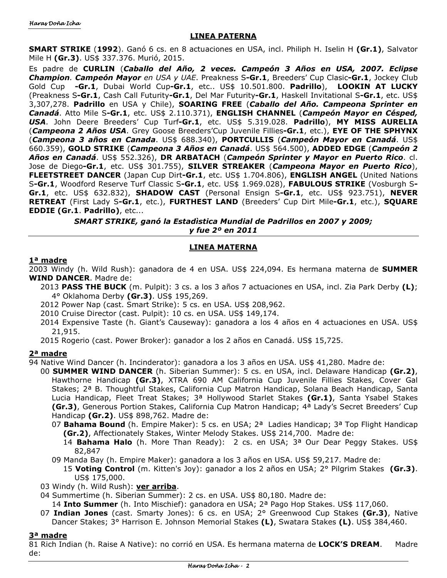## **LINEA PATERNA**

**SMART STRIKE** (**1992**). Ganó 6 cs. en 8 actuaciones en USA, incl. Philiph H. Iselin H **(Gr.1)**, Salvator Mile H **(Gr.3)**. US\$ 337.376. Murió, 2015.

Es padre de **CURLIN** (*Caballo del Año, 2 veces. Campeón 3 Años en USA, 2007. Eclipse Champion. Campeón Mayor en USA y UAE*. Preakness S**-Gr.1**, Breeders' Cup Clasic**-Gr.1**, Jockey Club Gold Cup **-Gr.1**, Dubai World Cup**-Gr.1**, etc.. US\$ 10.501.800. **Padrillo**), **LOOKIN AT LUCKY** (Preakness S**-Gr.1**, Cash Call Futurity**-Gr.1**, Del Mar Futurity**-Gr.1**, Haskell Invitational S**-Gr.1**, etc. US\$ 3,307,278. **Padrillo** en USA y Chile), **SOARING FREE** (*Caballo del Año. Campeona Sprinter en Canadá*. Atto Mile S**-Gr.1**, etc. US\$ 2.110.371), **ENGLISH CHANNEL** (*Campeón Mayor en Césped, USA*. John Deere Breeders' Cup Turf**-Gr.1**, etc. US\$ 5.319.028. **Padrillo**), **MY MISS AURELIA** (*Campeona 2 Años USA*. Grey Goose Breeders'Cup Juvenile Fillies**-Gr.1**, etc.), **EYE OF THE SPHYNX** (*Campeona 3 años en Canada*. US\$ 688.340), **PORTCULLIS** (*Campeón Mayor en Canadá*. US\$ 660.359), **GOLD STRIKE** (*Campeona 3 Años en Canadá*. US\$ 564.500), **ADDED EDGE** (*Campeón 2 Años en Canadá*. US\$ 552.326), **DR ARBATACH** (*Campeón Sprinter y Mayor en Puerto Rico*. cl. Jose de Diego**-Gr.1**, etc. US\$ 301.755), **SILVER STREAKER** (*Campeona Mayor en Puerto Rico*), **FLEETSTREET DANCER** (Japan Cup Dirt**-Gr.1**, etc. US\$ 1.704.806), **ENGLISH ANGEL** (United Nations S**-Gr.1**, Woodford Reserve Turf Classic S**-Gr.1**, etc. US\$ 1.969.028), **FABULOUS STRIKE** (Vosburgh S**-Gr.1**, etc. US\$ 632.832), **SHADOW CAST** (Personal Ensign S**-Gr.1**, etc. US\$ 923.751), **NEVER RETREAT** (First Lady S**-Gr.1**, etc.), **FURTHEST LAND** (Breeders' Cup Dirt Mile**-Gr.1**, etc.), **SQUARE EDDIE (Gr.1**. **Padrillo)**, etc...

> *SMART STRIKE, ganó la Estadìstica Mundial de Padrillos en 2007 y 2009; y fue 2º en 2011*

# **LINEA MATERNA**

## **1ª madre**

2003 Windy (h. Wild Rush): ganadora de 4 en USA. US\$ 224,094. Es hermana materna de **SUMMER WIND DANCER**. Madre de:

2013 **PASS THE BUCK** (m. Pulpit): 3 cs. a los 3 años 7 actuaciones en USA, incl. Zia Park Derby **(L)**; 4° Oklahoma Derby **(Gr.3)**. US\$ 195,269.

2012 Power Nap (cast. Smart Strike): 5 cs. en USA. US\$ 208,962.

- 2010 Cruise Director (cast. Pulpit): 10 cs. en USA. US\$ 149,174.
- 2014 Expensive Taste (h. Giant's Causeway): ganadora a los 4 años en 4 actuaciones en USA. US\$ 21,915.

2015 Rogerio (cast. Power Broker): ganador a los 2 años en Canadá. US\$ 15,725.

### **2ª madre**

94 Native Wind Dancer (h. Incinderator): ganadora a los 3 años en USA. US\$ 41,280. Madre de:

- 00 **SUMMER WIND DANCER** (h. Siberian Summer): 5 cs. en USA, incl. Delaware Handicap **(Gr.2)**, Hawthorne Handicap **(Gr.3)**, XTRA 690 AM California Cup Juvenile Fillies Stakes, Cover Gal Stakes; 2ª B. Thoughtful Stakes, California Cup Matron Handicap, Solana Beach Handicap, Santa Lucia Handicap, Fleet Treat Stakes; 3ª Hollywood Starlet Stakes **(Gr.1)**, Santa Ysabel Stakes **(Gr.3)**, Generous Portion Stakes, California Cup Matron Handicap; 4ª Lady's Secret Breeders' Cup Handicap **(Gr.2)**. US\$ 898,762. Madre de:
	- 07 **Bahama Bound** (h. Empire Maker): 5 cs. en USA; 2ª Ladies Handicap; 3ª Top Flight Handicap **(Gr.2)**, Affectionately Stakes, Winter Melody Stakes. US\$ 214,700. Madre de:
		- 14 **Bahama Halo** (h. More Than Ready): 2 cs. en USA; 3ª Our Dear Peggy Stakes. US\$ 82,847
	- 09 Manda Bay (h. Empire Maker): ganadora a los 3 años en USA. US\$ 59,217. Madre de: 15 **Voting Control** (m. Kitten's Joy): ganador a los 2 años en USA; 2° Pilgrim Stakes **(Gr.3)**. US\$ 175,000.
- 03 Windy (h. Wild Rush): **ver arriba**.
- 04 Summertime (h. Siberian Summer): 2 cs. en USA. US\$ 80,180. Madre de:
	- 14 **Into Summer** (h. Into Mischief): ganadora en USA; 2ª Pago Hop Stakes. US\$ 117,060.
- 07 **Indian Jones** (cast. Smarty Jones): 6 cs. en USA; 2° Greenwood Cup Stakes **(Gr.3)**, Native Dancer Stakes; 3° Harrison E. Johnson Memorial Stakes **(L)**, Swatara Stakes **(L)**. US\$ 384,460.

### **3ª madre**

81 Rich Indian (h. Raise A Native): no corrió en USA. Es hermana materna de **LOCK'S DREAM**. Madre de: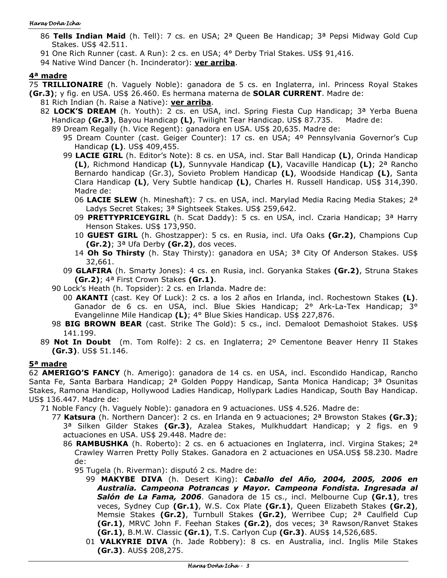#### Haras Doña Icha

- 86 **Tells Indian Maid** (h. Tell): 7 cs. en USA; 2ª Queen Be Handicap; 3ª Pepsi Midway Gold Cup Stakes. US\$ 42.511.
- 91 One Rich Runner (cast. A Run): 2 cs. en USA; 4° Derby Trial Stakes. US\$ 91,416.
- 94 Native Wind Dancer (h. Incinderator): **ver arriba**.

## **4ª madre**

75 **TRILLIONAIRE** (h. Vaguely Noble): ganadora de 5 cs. en Inglaterra, inl. Princess Royal Stakes **(Gr.3)**; y fig. en USA. US\$ 26.460. Es hermana materna de **SOLAR CURRENT**. Madre de:

- 81 Rich Indian (h. Raise a Native): **ver arriba**.
	- 82 **LOCK'S DREAM** (h. Youth): 2 cs. en USA, incl. Spring Fiesta Cup Handicap; 3ª Yerba Buena Handicap **(Gr.3)**, Bayou Handicap **(L)**, Twilight Tear Handicap. US\$ 87.735. Madre de:
		- 89 Dream Regally (h. Vice Regent): ganadora en USA. US\$ 20,635. Madre de:
			- 95 Dream Counter (cast. Geiger Counter): 17 cs. en USA; 4º Pennsylvania Governor's Cup Handicap **(L)**. US\$ 409,455.
			- 99 **LACIE GIRL** (h. Editor's Note): 8 cs. en USA, incl. Star Ball Handicap **(L)**, Orinda Handicap **(L)**, Richmond Handicap **(L)**, Sunnyvale Handicap **(L)**, Vacaville Handicap **(L)**; 2ª Rancho Bernardo handicap (Gr.3), Sovieto Problem Handicap **(L)**, Woodside Handicap **(L)**, Santa Clara Handicap **(L)**, Very Subtle handicap **(L)**, Charles H. Russell Handicap. US\$ 314,390. Madre de:
				- 06 **LACIE SLEW** (h. Mineshaft): 7 cs. en USA, incl. Marylad Media Racing Media Stakes; 2ª Ladys Secret Stakes; 3ª Sightseek Stakes. US\$ 259,642.
				- 09 **PRETTYPRICEYGIRL** (h. Scat Daddy): 5 cs. en USA, incl. Czaria Handicap; 3ª Harry Henson Stakes. US\$ 173,950.
				- 10 **GUEST GIRL** (h. Ghostzapper): 5 cs. en Rusia, incl. Ufa Oaks **(Gr.2)**, Champions Cup **(Gr.2)**; 3ª Ufa Derby **(Gr.2)**, dos veces.
				- 14 **Oh So Thirsty** (h. Stay Thirsty): ganadora en USA; 3ª City Of Anderson Stakes. US\$ 32,661.
			- 09 **GLAFIRA** (h. Smarty Jones): 4 cs. en Rusia, incl. Goryanka Stakes **(Gr.2)**, Struna Stakes **(Gr.2)**; 4ª First Crown Stakes **(Gr.1)**.
		- 90 Lock's Heath (h. Topsider): 2 cs. en Irlanda. Madre de:
			- 00 **AKANTI** (cast. Key Of Luck): 2 cs. a los 2 años en Irlanda, incl. Rochestown Stakes **(L)**. Ganador de 6 cs. en USA, incl. Blue Skies Handicap; 2° Ark-La-Tex Handicap; 3° Evangelinne Mile Handicap **(L)**; 4° Blue Skies Handicap. US\$ 227,876.
		- 98 **BIG BROWN BEAR** (cast. Strike The Gold): 5 cs., incl. Demaloot Demashoiot Stakes. US\$ 141.199.
	- 89 **Not In Doubt** (m. Tom Rolfe): 2 cs. en Inglaterra; 2º Cementone Beaver Henry II Stakes **(Gr.3)**. US\$ 51.146.

# **5ª madre**

62 **AMERIGO'S FANCY** (h. Amerigo): ganadora de 14 cs. en USA, incl. Escondido Handicap, Rancho Santa Fe, Santa Barbara Handicap; 2ª Golden Poppy Handicap, Santa Monica Handicap; 3ª Osunitas Stakes, Ramona Handicap, Hollywood Ladies Handicap, Hollypark Ladies Handicap, South Bay Handicap. US\$ 136.447. Madre de:

71 Noble Fancy (h. Vaguely Noble): ganadora en 9 actuaciones. US\$ 4.526. Madre de:

- 77 **Katsura** (h. Northern Dancer): 2 cs. en Irlanda en 9 actuaciones; 2ª Browston Stakes **(Gr.3)**; 3ª Silken Gilder Stakes **(Gr.3)**, Azalea Stakes, Mulkhuddart Handicap; y 2 figs. en 9 actuaciones en USA. US\$ 29.448. Madre de:
	- 86 **RAMBUSHKA** (h. Roberto): 2 cs. en 6 actuaciones en Inglaterra, incl. Virgina Stakes; 2ª Crawley Warren Pretty Polly Stakes. Ganadora en 2 actuaciones en USA.US\$ 58.230. Madre de:
		- 95 Tugela (h. Riverman): disputó 2 cs. Madre de:
			- 99 **MAKYBE DIVA** (h. Desert King): *Caballo del Año, 2004, 2005, 2006 en Australia. Campeona Potrancas y Mayor. Campeona Fondista. Ingresada al Salón de La Fama, 2006*. Ganadora de 15 cs., incl. Melbourne Cup **(Gr.1)**, tres veces, Sydney Cup **(Gr.1)**, W.S. Cox Plate **(Gr.1)**, Queen Elizabeth Stakes **(Gr.2)**, Memsie Stakes **(Gr.2)**, Turnbull Stakes **(Gr.2)**, Werribee Cup; 2ª Caulfield Cup **(Gr.1)**, MRVC John F. Feehan Stakes **(Gr.2)**, dos veces; 3ª Rawson/Ranvet Stakes **(Gr.1)**, B.M.W. Classic **(Gr.1)**, T.S. Carlyon Cup **(Gr.3)**. AUS\$ 14,526,685.
			- 01 **VALKYRIE DIVA** (h. Jade Robbery): 8 cs. en Australia, incl. Inglis Mile Stakes **(Gr.3)**. AUS\$ 208,275.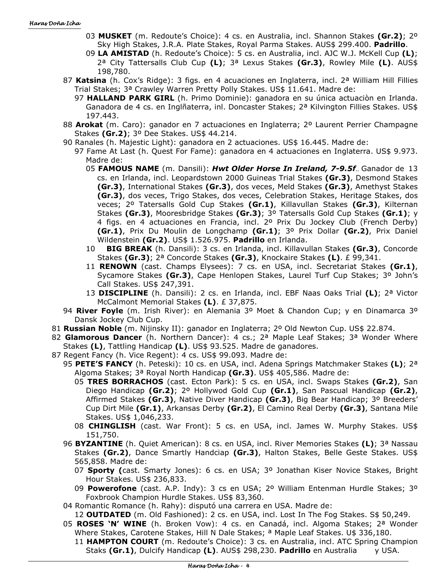- 03 **MUSKET** (m. Redoute's Choice): 4 cs. en Australia, incl. Shannon Stakes **(Gr.2)**; 2º Sky High Stakes, J.R.A. Plate Stakes, Royal Parma Stakes. AUS\$ 299.400. **Padrillo**.
- 09 **LA AMISTAD** (h. Redoute's Choice): 5 cs. en Australia, incl. AJC W.J. McKell Cup **(L)**; 2ª City Tattersalls Club Cup **(L)**; 3ª Lexus Stakes **(Gr.3)**, Rowley Mile **(L)**. AUS\$ 198,780.
- 87 **Katsina** (h. Cox's Ridge): 3 figs. en 4 acuaciones en Inglaterra, incl. 2ª William Hill Fillies Trial Stakes; 3ª Crawley Warren Pretty Polly Stakes. US\$ 11.641. Madre de:
	- 97 **HALLAND PARK GIRL** (h. Primo Dominie): ganadora en su única actuaciòn en Irlanda. Ganadora de 4 cs. en Inglñaterra, inl. Doncaster Stakes; 2ª Kilvington Fillies Stakes. US\$ 197.443.
- 88 **Arokat** (m. Caro): ganador en 7 actuaciones en Inglaterra; 2º Laurent Perrier Champagne Stakes **(Gr.2)**; 3º Dee Stakes. US\$ 44.214.
- 90 Ranales (h. Majestic Light): ganadora en 2 actuaciones. US\$ 16.445. Madre de:
	- 97 Fame At Last (h. Quest For Fame): ganadora en 4 actuaciones en Inglaterra. US\$ 9.973. Madre de:
		- 05 **FAMOUS NAME** (m. Dansili): *Hwt Older Horse In Ireland, 7-9.5f*.. Ganador de 13 cs. en Irlanda, incl. Leopardstown 2000 Guineas Trial Stakes **(Gr.3)**, Desmond Stakes **(Gr.3)**, International Stakes **(Gr.3)**, dos veces, Meld Stakes **(Gr.3)**, Amethyst Stakes **(Gr.3)**, dos veces, Trigo Stakes, dos veces, Celebration Stakes, Heritage Stakes, dos veces; 2º Tatersalls Gold Cup Stakes **(Gr.1)**, Killavullan Stakes **(Gr.3)**, Kilternan Stakes **(Gr.3)**, Mooresbridge Stakes **(Gr.3)**; 3º Tatersalls Gold Cup Stakes **(Gr.1)**; y 4 figs. en 4 actuaciones en Francia, incl. 2º Prix Du Jockey Club (French Derby) **(Gr.1)**, Prix Du Moulin de Longchamp **(Gr.1)**; 3º Prix Dollar **(Gr.2)**, Prix Daniel Wildenstein **(Gr.2)**. US\$ 1.526.975. **Padrillo** en Irlanda.
		- 10 **BIG BREAK** (h. Dansili): 3 cs. en Irlanda, incl. Killavullan Stakes **(Gr.3)**, Concorde Stakes **(Gr.3)**; 2ª Concorde Stakes **(Gr.3)**, Knockaire Stakes **(L)**. £ 99,341.
		- 11 **RENOWN** (cast. Champs Elysees): 7 cs. en USA, incl. Secretariat Stakes **(Gr.1)**, Sycamore Stakes **(Gr.3)**, Cape Henlopen Stakes, Laurel Turf Cup Stakes; 3º John's Call Stakes. US\$ 247,391.
		- 13 **DISCIPLINE** (h. Dansili): 2 cs. en Irlanda, incl. EBF Naas Oaks Trial **(L)**; 2ª Victor McCalmont Memorial Stakes **(L)**. £ 37,875.
- 94 **River Foyle** (m. Irish River): en Alemania 3º Moet & Chandon Cup; y en Dinamarca 3º Dansk Jockey Club Cup.
- 81 **Russian Noble** (m. Nijinsky II): ganador en Inglaterra; 2º Old Newton Cup. US\$ 22.874.
- 82 **Glamorous Dancer** (h. Northern Dancer): 4 cs.; 2ª Maple Leaf Stakes; 3ª Wonder Where Stakes **(L)**, Tattling Handicap **(L)**. US\$ 93.525. Madre de ganadores.
- 87 Regent Fancy (h. Vice Regent): 4 cs. US\$ 99.093. Madre de:
	- 95 **PETE'S FANCY** (h. Peteski): 10 cs. en USA, incl. Adena Springs Matchmaker Stakes **(L)**; 2ª Algoma Stakes; 3ª Royal North Handicap **(Gr.3)**. US\$ 405,586. Madre de:
		- 05 **TRES BORRACHOS** (cast. Ecton Park): 5 cs. en USA, incl. Swaps Stakes **(Gr.2)**, San Diego Handicap **(Gr.2)**; 2º Hollywod Gold Cup **(Gr.1)**, San Pascual Handicap **(Gr.2)**, Affirmed Stakes **(Gr.3)**, Native Diver Handicap **(Gr.3)**, Big Bear Handicap; 3º Breeders' Cup Dirt Mile **(Gr.1)**, Arkansas Derby **(Gr.2)**, El Camino Real Derby **(Gr.3)**, Santana Mile Stakes. US\$ 1,046,233.
		- 08 **CHINGLISH** (cast. War Front): 5 cs. en USA, incl. James W. Murphy Stakes. US\$ 151,750.
	- 96 **BYZANTINE** (h. Quiet American): 8 cs. en USA, incl. River Memories Stakes **(L)**; 3ª Nassau Stakes **(Gr.2)**, Dance Smartly Handciap **(Gr.3)**, Halton Stakes, Belle Geste Stakes. US\$ 565,858. Madre de:
		- 07 **Sporty (**cast. Smarty Jones): 6 cs. en USA; 3º Jonathan Kiser Novice Stakes, Bright Hour Stakes. US\$ 236,833.
		- 09 **Powerofone** (cast. A.P. Indy): 3 cs en USA; 2º William Entenman Hurdle Stakes; 3º Foxbrook Champion Hurdle Stakes. US\$ 83,360.
	- 04 Romantic Romance (h. Rahy): disputó una carrera en USA. Madre de:
		- 12 **OUTDATED** (m. Old Fashioned): 2 cs. en USA, incl. Lost In The Fog Stakes. S\$ 50,249.
	- 05 **ROSES 'N' WINE** (h. Broken Vow): 4 cs. en Canadá, incl. Algoma Stakes; 2ª Wonder Where Stakes, Carotene Stakes, Hill N Dale Stakes; <sup>a</sup> Maple Leaf Stakes. U\$ 336,180.
		- 11 **HAMPTON COURT** (m. Redoute's Choice): 3 cs. en Australia, incl. ATC Spring Champion Staks **(Gr.1)**, Dulcify Handicap **(L)**. AUS\$ 298,230. **Padrillo** en Australia y USA.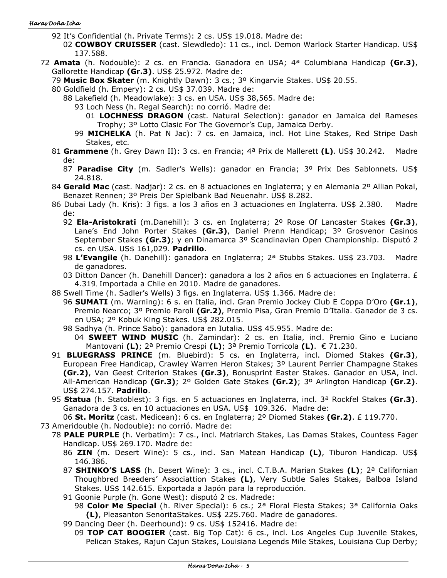#### Haras Doña Icha

- 92 It's Confidential (h. Private Terms): 2 cs. US\$ 19.018. Madre de:
	- 02 **COWBOY CRUISSER** (cast. Slewdledo): 11 cs., incl. Demon Warlock Starter Handicap. US\$ 137.588.
- 72 **Amata** (h. Nodouble): 2 cs. en Francia. Ganadora en USA; 4ª Columbiana Handicap **(Gr.3)**, Gallorette Handicap **(Gr.3)**. US\$ 25.972. Madre de:
	- 79 **Music Box Skater** (m. Knightly Dawn): 3 cs.; 3º Kingarvie Stakes. US\$ 20.55.
	- 80 Goldfield (h. Empery): 2 cs. US\$ 37.039. Madre de:
		- 88 Lakefield (h. Meadowlake): 3 cs. en USA. US\$ 38,565. Madre de:
			- 93 Loch Ness (h. Regal Search): no corrió. Madre de:
				- 01 **LOCHNESS DRAGON** (cast. Natural Selection): ganador en Jamaica del Rameses Trophy; 3º Lotto Clasic For The Governor's Cup, Jamaica Derby.
			- 99 **MICHELKA** (h. Pat N Jac): 7 cs. en Jamaica, incl. Hot Line Stakes, Red Stripe Dash Stakes, etc.
	- 81 **Grammene** (h. Grey Dawn II): 3 cs. en Francia; 4ª Prix de Mallerett **(L)**. US\$ 30.242. Madre de:
		- 87 **Paradise City** (m. Sadler's Wells): ganador en Francia; 3º Prix Des Sablonnets. US\$ 24.818.
	- 84 **Gerald Mac** (cast. Nadjar): 2 cs. en 8 actuaciones en Inglaterra; y en Alemania 2º Allian Pokal, Benazet Rennen; 3º Preis Der Spielbank Bad Neuenahr. US\$ 8.282.
	- 86 Dubai Lady (h. Kris): 3 figs. a los 3 años en 3 actuaciones en Inglaterra. US\$ 2.380. Madre de:
		- 92 **Ela-Aristokrati** (m.Danehill): 3 cs. en Inglaterra; 2º Rose Of Lancaster Stakes **(Gr.3)**, Lane's End John Porter Stakes **(Gr.3)**, Daniel Prenn Handicap; 3º Grosvenor Casinos September Stakes **(Gr.3)**; y en Dinamarca 3º Scandinavian Open Championship. Disputó 2 cs. en USA. US\$ 161,029. **Padrillo**.
		- 98 **L'Evangile** (h. Danehill): ganadora en Inglaterra; 2ª Stubbs Stakes. US\$ 23.703. Madre de ganadores.
		- 03 Ditton Dancer (h. Danehill Dancer): ganadora a los 2 años en 6 actuaciones en Inglaterra. £ 4.319. Importada a Chile en 2010. Madre de ganadores.
	- 88 Swell Time (h. Sadler's Wells) 3 figs. en Inglaterra. US\$ 1.366. Madre de:
		- 96 **SUMATI** (m. Warning): 6 s. en Italia, incl. Gran Premio Jockey Club E Coppa D'Oro **(Gr.1)**, Premio Nearco; 3º Premio Paroli **(Gr.2)**, Premio Pisa, Gran Premio D'Italia. Ganador de 3 cs. en USA; 2º Kobuk King Stakes. US\$ 282.015.
		- 98 Sadhya (h. Prince Sabo): ganadora en Iutalia. US\$ 45.955. Madre de:
			- 04 **SWEET WIND MUSIC** (h. Zamindar): 2 cs. en Italia, incl. Premio Gino e Luciano Mantovani **(L)**; 2ª Premio Crespi **(L)**; 3ª Premio Torricola **(L)**. € 71.230.
	- 91 **BLUEGRASS PRINCE** (m. Bluebird): 5 cs. en Inglaterra, incl. Diomed Stakes **(Gr.3)**, European Free Handicap, Crawley Warren Heron Stakes; 3º Laurent Perrier Champagne Stakes **(Gr.2)**, Van Geest Criterion Stakes **(Gr.3)**, Bonusprint Easter Stakes. Ganador en USA, incl. All-American Handicap **(Gr.3)**; 2º Golden Gate Stakes **(Gr.2)**; 3º Arlington Handicap **(Gr.2)**. US\$ 274.157. **Padrillo**.
	- 95 **Statua** (h. Statoblest): 3 figs. en 5 actuaciones en Inglaterra, incl. 3ª Rockfel Stakes **(Gr.3)**. Ganadora de 3 cs. en 10 actuaciones en USA. US\$ 109.326. Madre de:

06 **St. Moritz** (cast. Medicean): 6 cs. en Inglaterra; 2º Diomed Stakes **(Gr.2)**. £ 119.770.

- 73 Ameridouble (h. Nodouble): no corrió. Madre de:
	- 78 **PALE PURPLE** (h. Verbatim): 7 cs., incl. Matriarch Stakes, Las Damas Stakes, Countess Fager Handicap. US\$ 269.170. Madre de:
		- 86 **ZIN** (m. Desert Wine): 5 cs., incl. San Matean Handicap **(L)**, Tiburon Handicap. US\$ 146.386.
		- 87 **SHINKO'S LASS** (h. Desert Wine): 3 cs., incl. C.T.B.A. Marian Stakes **(L)**; 2ª Californian Thoughbred Breeders' Associattion Stakes **(L)**, Very Subtle Sales Stakes, Balboa Island Stakes. US\$ 142.615. Exportada a Japón para la reproducción.
		- 91 Goonie Purple (h. Gone West): disputó 2 cs. Madrede:
			- 98 **Color Me Special** (h. River Special): 6 cs.; 2ª Floral Fiesta Stakes; 3ª California Oaks **(L)**, Pleasanton SenoritaStakes. US\$ 225.760. Madre de ganadores.
		- 99 Dancing Deer (h. Deerhound): 9 cs. US\$ 152416. Madre de:
			- 09 **TOP CAT BOOGIER** (cast. Big Top Cat): 6 cs., incl. Los Angeles Cup Juvenile Stakes, Pelican Stakes, Rajun Cajun Stakes, Louisiana Legends Mile Stakes, Louisiana Cup Derby;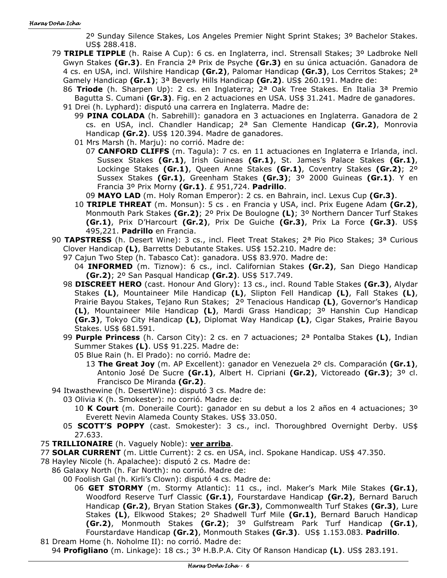2º Sunday Silence Stakes, Los Angeles Premier Night Sprint Stakes; 3º Bachelor Stakes. US\$ 288.418.

- 79 **TRIPLE TIPPLE** (h. Raise A Cup): 6 cs. en Inglaterra, incl. Strensall Stakes; 3º Ladbroke Nell Gwyn Stakes **(Gr.3)**. En Francia 2ª Prix de Psyche **(Gr.3)** en su única actuación. Ganadora de 4 cs. en USA, incl. Wilshire Handicap **(Gr.2)**, Palomar Handicap **(Gr.3)**, Los Cerritos Stakes; 2ª Gamely Handicap **(Gr.1)**; 3ª Beverly Hills Handicap **(Gr.2)**. US\$ 260.191. Madre de:
	- 86 **Triode** (h. Sharpen Up): 2 cs. en Inglaterra; 2ª Oak Tree Stakes. En Italia 3ª Premio Bagutta S. Cumani **(Gr.3)**. Fig. en 2 actuaciones en USA. US\$ 31.241. Madre de ganadores. 91 Drei (h. Lyphard): disputó una carrera en Inglaterra. Madre de:
		- 99 **PINA COLADA** (h. Sabrehill): ganadora en 3 actuaciones en Inglaterra. Ganadora de 2 cs. en USA, incl. Chandler Handicap; 2ª San Clemente Handicap **(Gr.2)**, Monrovia Handicap **(Gr.2)**. US\$ 120.394. Madre de ganadores.
			- 01 Mrs Marsh (h. Marju): no corrió. Madre de:
				- 07 **CANFORD CLIFFS** (m. Tagula): 7 cs. en 11 actuaciones en Inglaterra e Irlanda, incl. Sussex Stakes **(Gr.1)**, Irish Guineas **(Gr.1)**, St. James's Palace Stakes **(Gr.1)**, Lockinge Stakes **(Gr.1)**, Queen Anne Stakes **(Gr.1)**, Coventry Stakes **(Gr.2)**; 2º Sussex Stakes **(Gr.1)**, Greenham Stakes **(Gr.3)**; 3º 2000 Guineas **(Gr.1)**. Y en Francia 3º Prix Morny **(Gr.1)**. £ 951,724. **Padrillo**.

09 **MAYO LAD** (m. Holy Roman Emperor): 2 cs. en Bahrain, incl. Lexus Cup **(Gr.3)**.

- 10 **TRIPLE THREAT** (m. Monsun): 5 cs . en Francia y USA, incl. Prix Eugene Adam **(Gr.2)**, Monmouth Park Stakes **(Gr.2)**; 2º Prix De Boulogne **(L)**; 3º Northern Dancer Turf Stakes **(Gr.1)**, Prix D'Harcourt **(Gr.2)**, Prix De Guiche **(Gr.3)**, Prix La Force **(Gr.3)**. US\$ 495,221. **Padrillo** en Francia.
- 90 **TAPSTRESS** (h. Desert Wine): 3 cs., incl. Fleet Treat Stakes; 2ª Pio Pico Stakes; 3ª Curious Clover Handicap **(L)**, Barretts Debutante Stakes. US\$ 152.210. Madre de:
	- 97 Cajun Two Step (h. Tabasco Cat): ganadora. US\$ 83.970. Madre de:
		- 04 **INFORMED** (m. Tiznow): 6 cs., incl. Californian Stakes **(Gr.2)**, San Diego Handicap **(Gr.2)**; 2º San Pasqual Handicap **(Gr.2)**. US\$ 517.749.
	- 98 **DISCREET HERO** (cast. Honour And Glory): 13 cs., incl. Round Table Stakes **(Gr.3)**, Alydar Stakes **(L)**, Mountaineer Mile Handicap **(L)**, Slipton Fell Handicap **(L)**, Fall Stakes **(L)**, Prairie Bayou Stakes, Tejano Run Stakes; 2º Tenacious Handicap **(L)**, Governor's Handicap **(L)**, Mountaineer Mile Handicap **(L)**, Mardi Grass Handicap; 3º Hanshin Cup Handicap **(Gr.3)**, Tokyo City Handicap **(L)**, Diplomat Way Handicap **(L)**, Cigar Stakes, Prairie Bayou Stakes. US\$ 681.591.
	- 99 **Purple Princess** (h. Carson City): 2 cs. en 7 actuaciones; 2ª Pontalba Stakes **(L)**, Indian Summer Stakes **(L)**. US\$ 91.225. Madre de:
		- 05 Blue Rain (h. El Prado): no corrió. Madre de:
			- 13 **The Great Joy** (m. AP Excellent): ganador en Venezuela 2º cls. Comparación **(Gr.1)**, Antonio José De Sucre **(Gr.1)**, Albert H. Cipriani **(Gr.2)**, Victoreado **(Gr.3)**; 3º cl. Francisco De Miranda **(Gr.2)**.
- 94 Itwasthewine (h. DesertWine): disputó 3 cs. Madre de:
	- 03 Olivia K (h. Smokester): no corrió. Madre de:
		- 10 **K Court** (m. Doneraile Court): ganador en su debut a los 2 años en 4 actuaciones; 3º Everett Nevin Alameda County Stakes. US\$ 33.050.
	- 05 **SCOTT'S POPPY** (cast. Smokester): 3 cs., incl. Thoroughbred Overnight Derby. US\$ 27.633.
- 75 **TRILLIONAIRE** (h. Vaguely Noble): **ver arriba**.
- 77 **SOLAR CURRENT** (m. Little Current): 2 cs. en USA, incl. Spokane Handicap. US\$ 47.350.
- 78 Hayley Nicole (h. Apalachee): disputó 2 cs. Madre de:
	- 86 Galaxy North (h. Far North): no corrió. Madre de:
		- 00 Foolish Gal (h. Kirli's Clown): disputó 4 cs. Madre de:
			- 06 **GET STORMY** (m. Stormy Atlantic): 11 cs., incl. Maker's Mark Mile Stakes **(Gr.1)**, Woodford Reserve Turf Classic **(Gr.1)**, Fourstardave Handicap **(Gr.2)**, Bernard Baruch Handicap **(Gr.2)**, Bryan Station Stakes **(Gr.3)**, Commonwealth Turf Stakes **(Gr.3)**, Lure Stakes **(L)**, Elkwood Stakes; 2º Shadwell Turf Mile **(Gr.1)**, Bernard Baruch Handicap **(Gr.2)**, Monmouth Stakes **(Gr.2)**; 3º Gulfstream Park Turf Handicap **(Gr.1)**, Fourstardave Handicap **(Gr.2)**, Monmouth Stakes **(Gr.3)**. US\$ 1.153.083. **Padrillo**.
- 81 Dream Home (h. Noholme II): no corrió. Madre de: 94 **Profigliano** (m. Linkage): 18 cs.; 3º H.B.P.A. City Of Ranson Handicap **(L)**. US\$ 283.191.